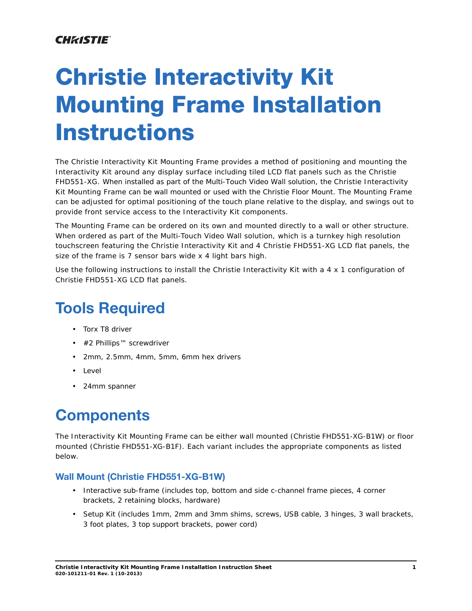### **CHRISTIE®**

# **Christie Interactivity Kit Mounting Frame Installation Instructions**

The Christie Interactivity Kit Mounting Frame provides a method of positioning and mounting the Interactivity Kit around any display surface including tiled LCD flat panels such as the Christie FHD551-XG. When installed as part of the Multi-Touch Video Wall solution, the Christie Interactivity Kit Mounting Frame can be wall mounted or used with the Christie Floor Mount. The Mounting Frame can be adjusted for optimal positioning of the touch plane relative to the display, and swings out to provide front service access to the Interactivity Kit components.

The Mounting Frame can be ordered on its own and mounted directly to a wall or other structure. When ordered as part of the Multi-Touch Video Wall solution, which is a turnkey high resolution touchscreen featuring the Christie Interactivity Kit and 4 Christie FHD551-XG LCD flat panels, the size of the frame is 7 sensor bars wide x 4 light bars high.

Use the following instructions to install the Christie Interactivity Kit with a 4 x 1 configuration of Christie FHD551-XG LCD flat panels.

# **Tools Required**

- Torx T8 driver
- #2 Phillips™ screwdriver
- 2mm, 2.5mm, 4mm, 5mm, 6mm hex drivers
- Level
- 24mm spanner

### **Components**

The Interactivity Kit Mounting Frame can be either wall mounted (Christie FHD551-XG-B1W) or floor mounted (Christie FHD551-XG-B1F). Each variant includes the appropriate components as listed below.

### **Wall Mount (Christie FHD551-XG-B1W)**

- Interactive sub-frame (includes top, bottom and side c-channel frame pieces, 4 corner brackets, 2 retaining blocks, hardware)
- Setup Kit (includes 1mm, 2mm and 3mm shims, screws, USB cable, 3 hinges, 3 wall brackets, 3 foot plates, 3 top support brackets, power cord)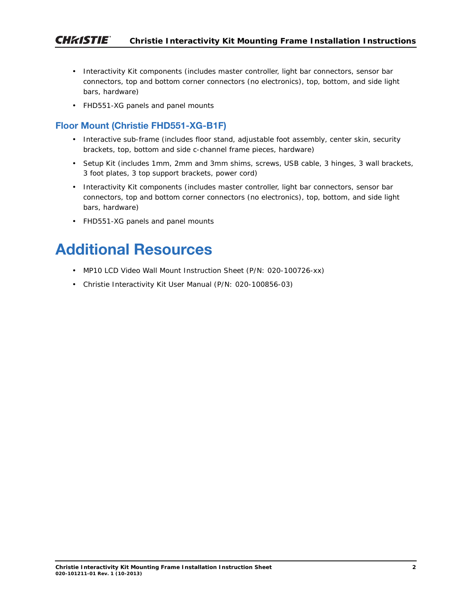- Interactivity Kit components (includes master controller, light bar connectors, sensor bar connectors, top and bottom corner connectors (no electronics), top, bottom, and side light bars, hardware)
- FHD551-XG panels and panel mounts

### **Floor Mount (Christie FHD551-XG-B1F)**

- Interactive sub-frame (includes floor stand, adjustable foot assembly, center skin, security brackets, top, bottom and side c-channel frame pieces, hardware)
- Setup Kit (includes 1mm, 2mm and 3mm shims, screws, USB cable, 3 hinges, 3 wall brackets, 3 foot plates, 3 top support brackets, power cord)
- Interactivity Kit components (includes master controller, light bar connectors, sensor bar connectors, top and bottom corner connectors (no electronics), top, bottom, and side light bars, hardware)
- FHD551-XG panels and panel mounts

### **Additional Resources**

- MP10 LCD Video Wall Mount Instruction Sheet (P/N: 020-100726-xx)
- Christie Interactivity Kit User Manual (P/N: 020-100856-03)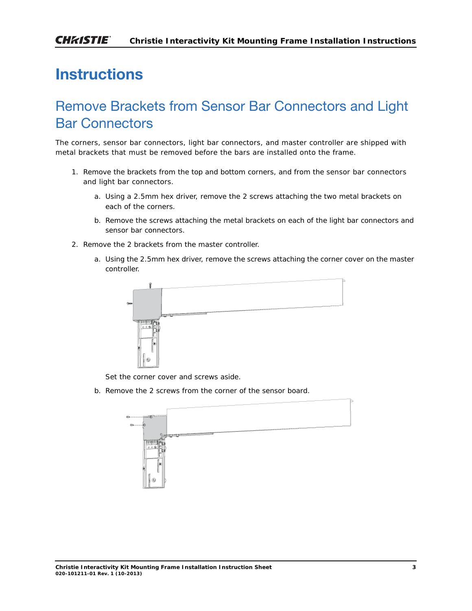## **Instructions**

### Remove Brackets from Sensor Bar Connectors and Light Bar Connectors

The corners, sensor bar connectors, light bar connectors, and master controller are shipped with metal brackets that must be removed before the bars are installed onto the frame.

- 1. Remove the brackets from the top and bottom corners, and from the sensor bar connectors and light bar connectors.
	- a. Using a 2.5mm hex driver, remove the 2 screws attaching the two metal brackets on each of the corners.
	- b. Remove the screws attaching the metal brackets on each of the light bar connectors and sensor bar connectors.
- 2. Remove the 2 brackets from the master controller.
	- a. Using the 2.5mm hex driver, remove the screws attaching the corner cover on the master controller.



Set the corner cover and screws aside.

b. Remove the 2 screws from the corner of the sensor board.

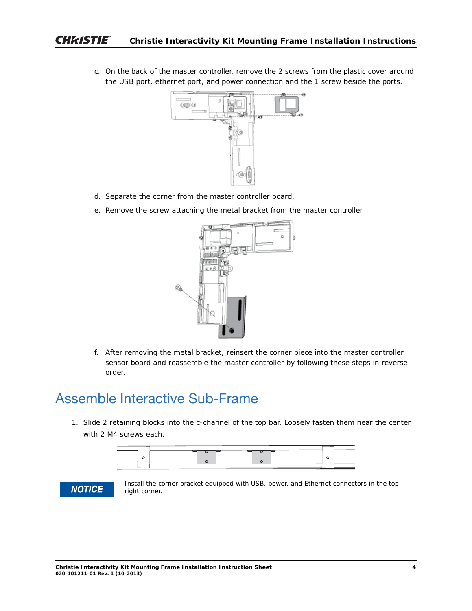c. On the back of the master controller, remove the 2 screws from the plastic cover around the USB port, ethernet port, and power connection and the 1 screw beside the ports.



- d. Separate the corner from the master controller board.
- e. Remove the screw attaching the metal bracket from the master controller.



f. After removing the metal bracket, reinsert the corner piece into the master controller sensor board and reassemble the master controller by following these steps in reverse order.

### Assemble Interactive Sub-Frame

1. Slide 2 retaining blocks into the c-channel of the top bar. Loosely fasten them near the center with 2 M4 screws each.





Install the corner bracket equipped with USB, power, and Ethernet connectors in the top right corner.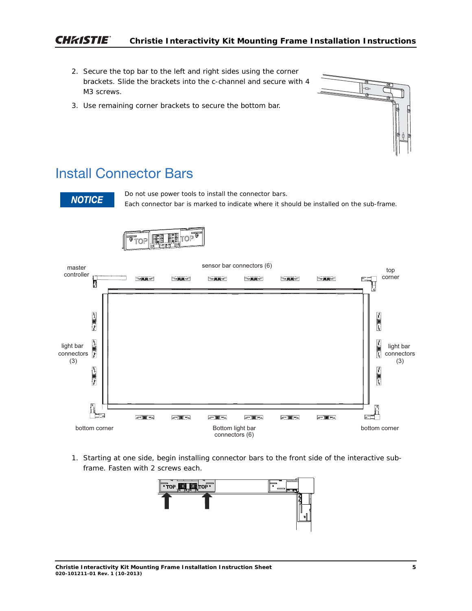#### **CHRISTIE® Christie Interactivity Kit Mounting Frame Installation Instructions**

- 2. Secure the top bar to the left and right sides using the corner brackets. Slide the brackets into the c-channel and secure with 4 M3 screws.
- 3. Use remaining corner brackets to secure the bottom bar.

### Install Connector Bars

**NOTICE** 

Do not use power tools to install the connector bars. Each connector bar is marked to indicate where it should be installed on the sub-frame.





1. Starting at one side, begin installing connector bars to the front side of the interactive subframe. Fasten with 2 screws each.

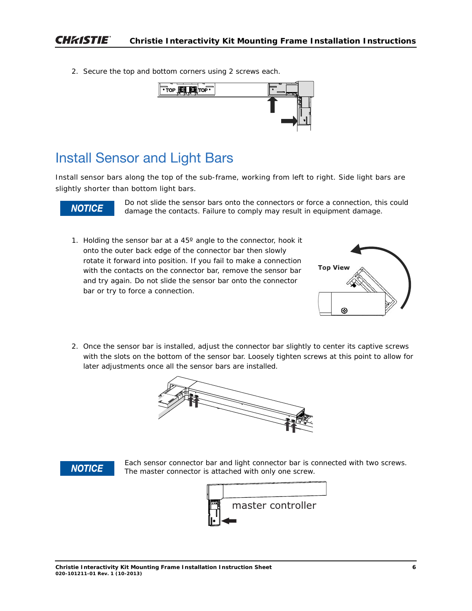2. Secure the top and bottom corners using 2 screws each.



### Install Sensor and Light Bars

Install sensor bars along the top of the sub-frame, working from left to right. Side light bars are slightly shorter than bottom light bars.

### **NOTICE**

Do not slide the sensor bars onto the connectors or force a connection, this could damage the contacts. Failure to comply may result in equipment damage.

1. Holding the sensor bar at a 45º angle to the connector, hook it onto the outer back edge of the connector bar then slowly rotate it forward into position. If you fail to make a connection with the contacts on the connector bar, remove the sensor bar and try again. Do not slide the sensor bar onto the connector bar or try to force a connection.



2. Once the sensor bar is installed, adjust the connector bar slightly to center its captive screws with the slots on the bottom of the sensor bar. Loosely tighten screws at this point to allow for later adjustments once all the sensor bars are installed.





Each sensor connector bar and light connector bar is connected with two screws. The master connector is attached with only one screw.

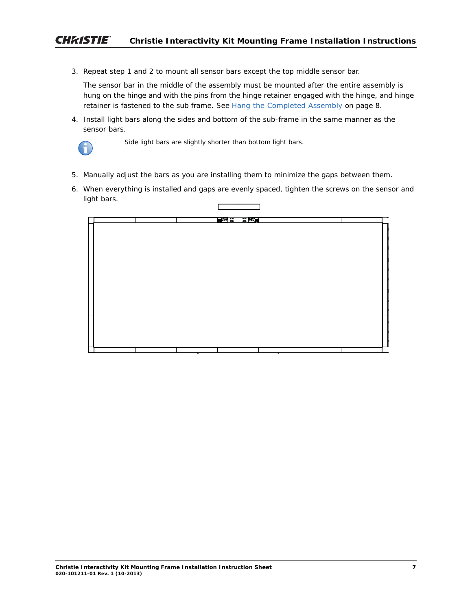3. Repeat step 1 and 2 to mount all sensor bars except the top middle sensor bar.

The sensor bar in the middle of the assembly must be mounted after the entire assembly is hung on the hinge and with the pins from the hinge retainer engaged with the hinge, and hinge retainer is fastened to the sub frame. See *[Hang the Completed Assembly](#page-7-0)* on page 8.

4. Install light bars along the sides and bottom of the sub-frame in the same manner as the sensor bars.



Side light bars are slightly shorter than bottom light bars.

- 5. Manually adjust the bars as you are installing them to minimize the gaps between them.
- 6. When everything is installed and gaps are evenly spaced, tighten the screws on the sensor and light bars.

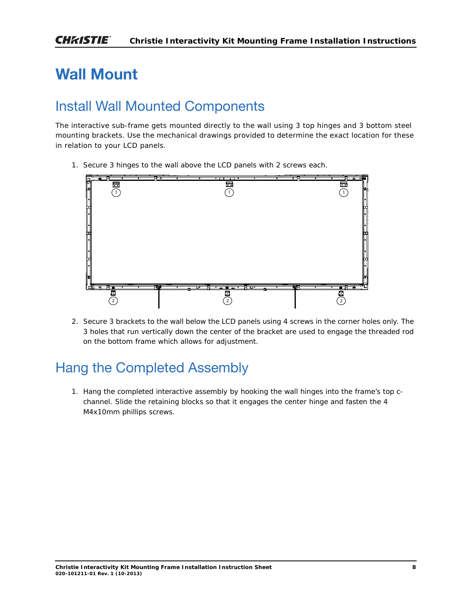# **Wall Mount**

### Install Wall Mounted Components

The interactive sub-frame gets mounted directly to the wall using 3 top hinges and 3 bottom steel mounting brackets. Use the mechanical drawings provided to determine the exact location for these in relation to your LCD panels.

1. Secure 3 hinges to the wall above the LCD panels with 2 screws each.



2. Secure 3 brackets to the wall below the LCD panels using 4 screws in the corner holes only. The 3 holes that run vertically down the center of the bracket are used to engage the threaded rod on the bottom frame which allows for adjustment.

### <span id="page-7-0"></span>Hang the Completed Assembly

1. Hang the completed interactive assembly by hooking the wall hinges into the frame's top cchannel. Slide the retaining blocks so that it engages the center hinge and fasten the 4 M4x10mm phillips screws.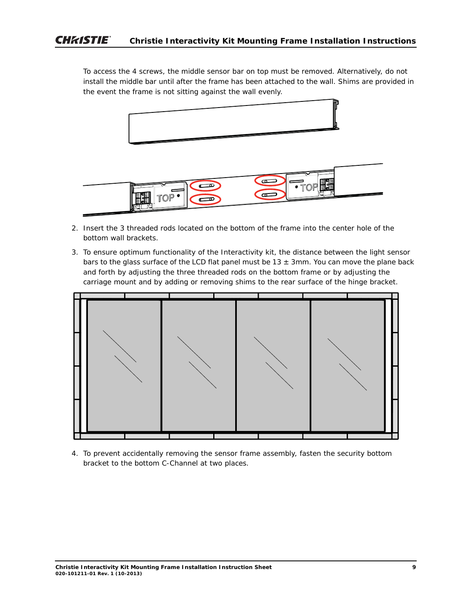To access the 4 screws, the middle sensor bar on top must be removed. Alternatively, do not install the middle bar until after the frame has been attached to the wall. Shims are provided in the event the frame is not sitting against the wall evenly.



- 2. Insert the 3 threaded rods located on the bottom of the frame into the center hole of the bottom wall brackets.
- 3. To ensure optimum functionality of the Interactivity kit, the distance between the light sensor bars to the glass surface of the LCD flat panel must be  $13 \pm 3$ mm. You can move the plane back and forth by adjusting the three threaded rods on the bottom frame or by adjusting the carriage mount and by adding or removing shims to the rear surface of the hinge bracket.



4. To prevent accidentally removing the sensor frame assembly, fasten the security bottom bracket to the bottom C-Channel at two places.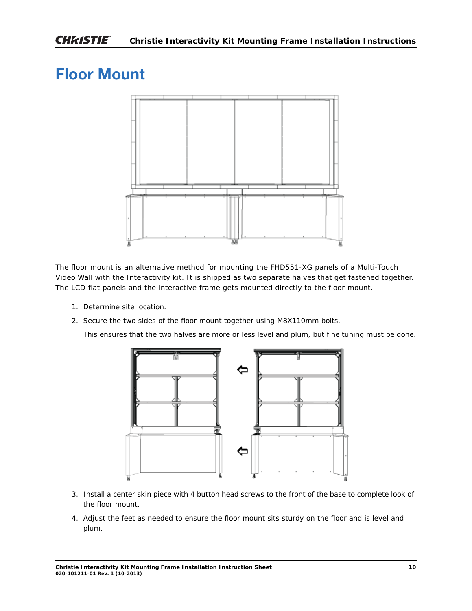# **Floor Mount**



The floor mount is an alternative method for mounting the FHD551-XG panels of a Multi-Touch Video Wall with the Interactivity kit. It is shipped as two separate halves that get fastened together. The LCD flat panels and the interactive frame gets mounted directly to the floor mount.

- 1. Determine site location.
- 2. Secure the two sides of the floor mount together using M8X110mm bolts.

This ensures that the two halves are more or less level and plum, but fine tuning must be done.



- 3. Install a center skin piece with 4 button head screws to the front of the base to complete look of the floor mount.
- 4. Adjust the feet as needed to ensure the floor mount sits sturdy on the floor and is level and plum.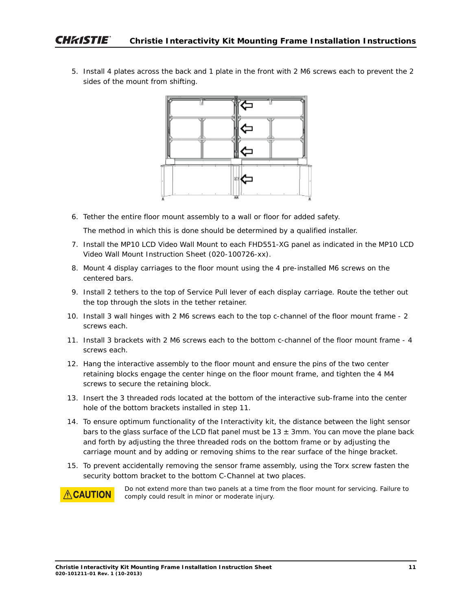5. Install 4 plates across the back and 1 plate in the front with 2 M6 screws each to prevent the 2 sides of the mount from shifting.



6. Tether the entire floor mount assembly to a wall or floor for added safety.

The method in which this is done should be determined by a qualified installer.

- 7. Install the MP10 LCD Video Wall Mount to each FHD551-XG panel as indicated in the MP10 LCD Video Wall Mount Instruction Sheet (020-100726-xx).
- 8. Mount 4 display carriages to the floor mount using the 4 pre-installed M6 screws on the centered bars.
- 9. Install 2 tethers to the top of Service Pull lever of each display carriage. Route the tether out the top through the slots in the tether retainer.
- 10. Install 3 wall hinges with 2 M6 screws each to the top c-channel of the floor mount frame 2 screws each.
- 11. Install 3 brackets with 2 M6 screws each to the bottom c-channel of the floor mount frame 4 screws each.
- 12. Hang the interactive assembly to the floor mount and ensure the pins of the two center retaining blocks engage the center hinge on the floor mount frame, and tighten the 4 M4 screws to secure the retaining block.
- 13. Insert the 3 threaded rods located at the bottom of the interactive sub-frame into the center hole of the bottom brackets installed in step 11.
- 14. To ensure optimum functionality of the Interactivity kit, the distance between the light sensor bars to the glass surface of the LCD flat panel must be  $13 \pm 3$ mm. You can move the plane back and forth by adjusting the three threaded rods on the bottom frame or by adjusting the carriage mount and by adding or removing shims to the rear surface of the hinge bracket.
- 15. To prevent accidentally removing the sensor frame assembly, using the Torx screw fasten the security bottom bracket to the bottom C-Channel at two places.



Do not extend more than two panels at a time from the floor mount for servicing. Failure to comply could result in minor or moderate injury.